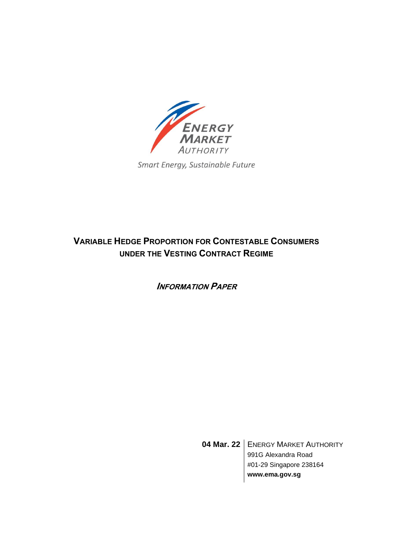

Smart Energy, Sustainable Future

# **VARIABLE HEDGE PROPORTION FOR CONTESTABLE CONSUMERS UNDER THE VESTING CONTRACT REGIME**

**INFORMATION PAPER** 

**04 Mar. 22** | ENERGY MARKET AUTHORITY 991G Alexandra Road #01-29 Singapore 238164 **www.ema.gov.sg**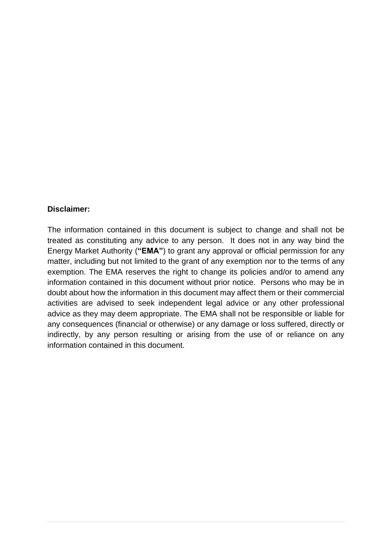#### **Disclaimer:**

The information contained in this document is subject to change and shall not be treated as constituting any advice to any person. It does not in any way bind the Energy Market Authority (**"EMA"**) to grant any approval or official permission for any matter, including but not limited to the grant of any exemption nor to the terms of any exemption. The EMA reserves the right to change its policies and/or to amend any information contained in this document without prior notice. Persons who may be in doubt about how the information in this document may affect them or their commercial activities are advised to seek independent legal advice or any other professional advice as they may deem appropriate. The EMA shall not be responsible or liable for any consequences (financial or otherwise) or any damage or loss suffered, directly or indirectly, by any person resulting or arising from the use of or reliance on any information contained in this document.